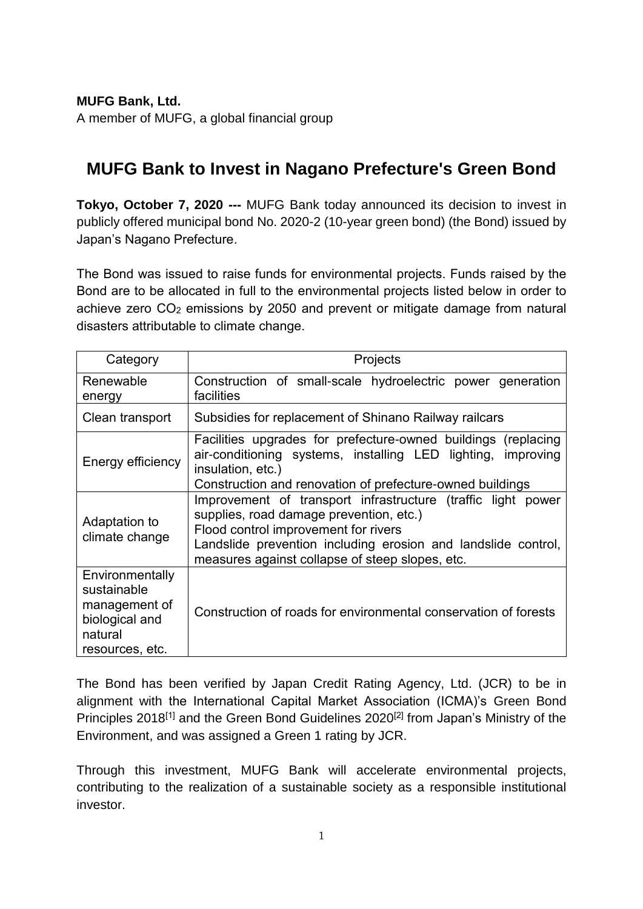**MUFG Bank, Ltd.**

A member of MUFG, a global financial group

## **MUFG Bank to Invest in Nagano Prefecture's Green Bond**

**Tokyo, October 7, 2020 ---** MUFG Bank today announced its decision to invest in publicly offered municipal bond No. 2020-2 (10-year green bond) (the Bond) issued by Japan's Nagano Prefecture.

The Bond was issued to raise funds for environmental projects. Funds raised by the Bond are to be allocated in full to the environmental projects listed below in order to achieve zero CO<sub>2</sub> emissions by 2050 and prevent or mitigate damage from natural disasters attributable to climate change.

| Category                                                                                        | Projects                                                                                                                                                                                                                                                            |
|-------------------------------------------------------------------------------------------------|---------------------------------------------------------------------------------------------------------------------------------------------------------------------------------------------------------------------------------------------------------------------|
| Renewable<br>energy                                                                             | Construction of small-scale hydroelectric power generation<br>facilities                                                                                                                                                                                            |
| Clean transport                                                                                 | Subsidies for replacement of Shinano Railway railcars                                                                                                                                                                                                               |
| Energy efficiency                                                                               | Facilities upgrades for prefecture-owned buildings (replacing<br>air-conditioning systems, installing LED lighting, improving<br>insulation, etc.)<br>Construction and renovation of prefecture-owned buildings                                                     |
| Adaptation to<br>climate change                                                                 | Improvement of transport infrastructure (traffic light power<br>supplies, road damage prevention, etc.)<br>Flood control improvement for rivers<br>Landslide prevention including erosion and landslide control,<br>measures against collapse of steep slopes, etc. |
| Environmentally<br>sustainable<br>management of<br>biological and<br>natural<br>resources, etc. | Construction of roads for environmental conservation of forests                                                                                                                                                                                                     |

The Bond has been verified by Japan Credit Rating Agency, Ltd. (JCR) to be in alignment with the International Capital Market Association (ICMA)'s Green Bond Principles 2018<sup>[1]</sup> and the Green Bond Guidelines 2020<sup>[2]</sup> from Japan's Ministry of the Environment, and was assigned a Green 1 rating by JCR.

Through this investment, MUFG Bank will accelerate environmental projects, contributing to the realization of a sustainable society as a responsible institutional investor.